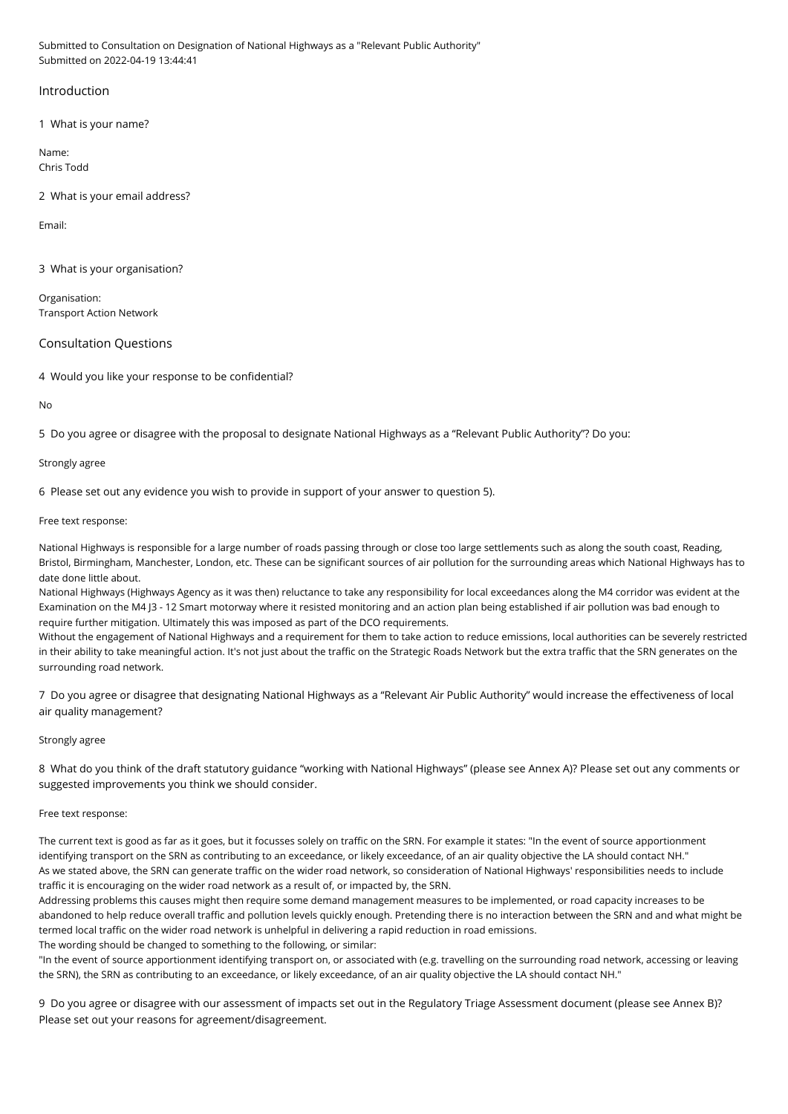Submitted to Consultation on Designation of National Highways as a "Relevant Public Authority" Submitted on 2022-04-19 13:44:41

# Introduction

1 What is your name?

Name: Chris Todd

2 What is your email address?

Email:

3 What is your organisation?

Organisation: Transport Action Network

Consultation Questions

4 Would you like your response to be confidential?

No

5 Do you agree or disagree with the proposal to designate National Highways as a "Relevant Public Authority"? Do you:

## Strongly agree

6 Please set out any evidence you wish to provide in support of your answer to question 5).

Free text response:

National Highways is responsible for a large number of roads passing through or close too large settlements such as along the south coast, Reading, Bristol, Birmingham, Manchester, London, etc. These can be significant sources of air pollution for the surrounding areas which National Highways has to date done little about.

National Highways (Highways Agency as it was then) reluctance to take any responsibility for local exceedances along the M4 corridor was evident at the Examination on the M4 J3 - 12 Smart motorway where it resisted monitoring and an action plan being established if air pollution was bad enough to require further mitigation. Ultimately this was imposed as part of the DCO requirements.

Without the engagement of National Highways and a requirement for them to take action to reduce emissions, local authorities can be severely restricted in their ability to take meaningful action. It's not just about the traffic on the Strategic Roads Network but the extra traffic that the SRN generates on the surrounding road network.

7 Do you agree or disagree that designating National Highways as a "Relevant Air Public Authority" would increase the effectiveness of local air quality management?

## Strongly agree

8 What do you think of the draft statutory guidance "working with National Highways" (please see Annex A)? Please set out any comments or suggested improvements you think we should consider.

## Free text response:

The current text is good as far as it goes, but it focusses solely on traffic on the SRN. For example it states: "In the event of source apportionment identifying transport on the SRN as contributing to an exceedance, or likely exceedance, of an air quality objective the LA should contact NH." As we stated above, the SRN can generate traffic on the wider road network, so consideration of National Highways' responsibilities needs to include traffic it is encouraging on the wider road network as a result of, or impacted by, the SRN.

Addressing problems this causes might then require some demand management measures to be implemented, or road capacity increases to be abandoned to help reduce overall traffic and pollution levels quickly enough. Pretending there is no interaction between the SRN and and what might be termed local traffic on the wider road network is unhelpful in delivering a rapid reduction in road emissions. The wording should be changed to something to the following, or similar:

"In the event of source apportionment identifying transport on, or associated with (e.g. travelling on the surrounding road network, accessing or leaving the SRN), the SRN as contributing to an exceedance, or likely exceedance, of an air quality objective the LA should contact NH."

9 Do you agree or disagree with our assessment of impacts set out in the Regulatory Triage Assessment document (please see Annex B)? Please set out your reasons for agreement/disagreement.